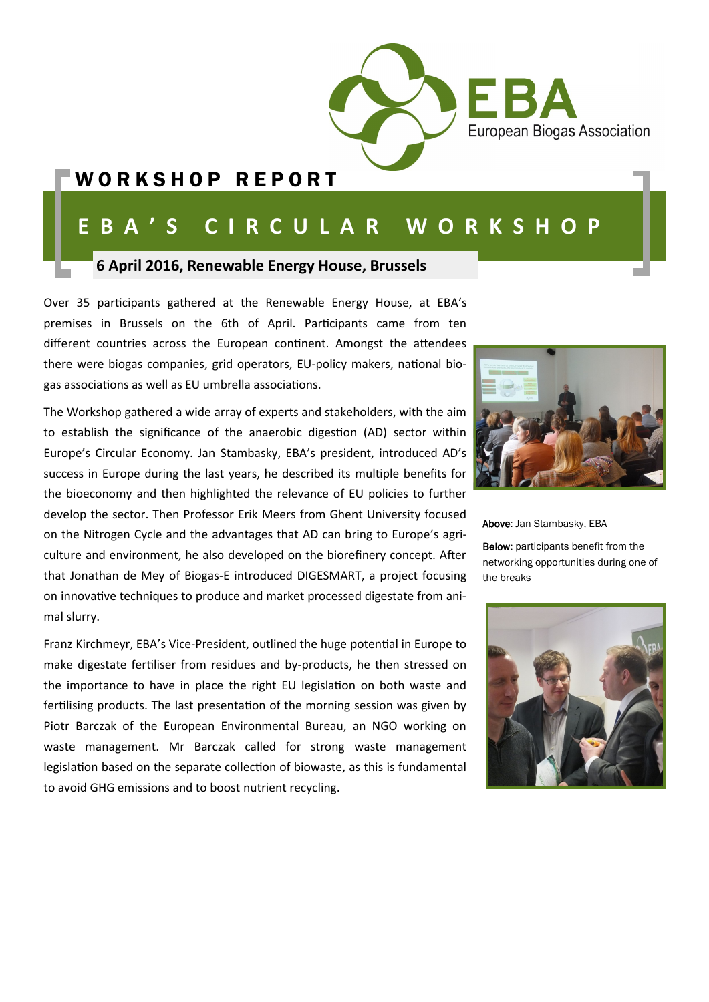

### WORKSHOP REPORT

# **E B A ' S C I R C U L A R W O R K S H O P**

#### **6 April 2016, Renewable Energy House, Brussels**

Over 35 participants gathered at the Renewable Energy House, at EBA's premises in Brussels on the 6th of April. Participants came from ten different countries across the European continent. Amongst the attendees there were biogas companies, grid operators, EU-policy makers, national biogas associations as well as EU umbrella associations.

The Workshop gathered a wide array of experts and stakeholders, with the aim to establish the significance of the anaerobic digestion (AD) sector within Europe's Circular Economy. Jan Stambasky, EBA's president, introduced AD's success in Europe during the last years, he described its multiple benefits for the bioeconomy and then highlighted the relevance of EU policies to further develop the sector. Then Professor Erik Meers from Ghent University focused on the Nitrogen Cycle and the advantages that AD can bring to Europe's agriculture and environment, he also developed on the biorefinery concept. After that Jonathan de Mey of Biogas-E introduced DIGESMART, a project focusing on innovative techniques to produce and market processed digestate from animal slurry.

Franz Kirchmeyr, EBA's Vice-President, outlined the huge potential in Europe to make digestate fertiliser from residues and by-products, he then stressed on the importance to have in place the right EU legislation on both waste and fertilising products. The last presentation of the morning session was given by Piotr Barczak of the European Environmental Bureau, an NGO working on waste management. Mr Barczak called for strong waste management legislation based on the separate collection of biowaste, as this is fundamental to avoid GHG emissions and to boost nutrient recycling.



Above: Jan Stambasky, EBA

Below: participants benefit from the networking opportunities during one of the breaks